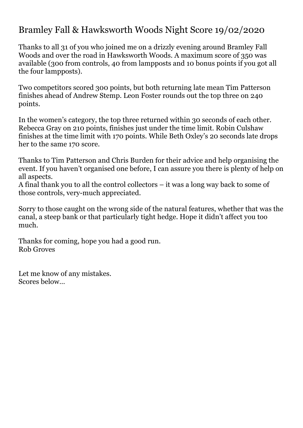## Bramley Fall & Hawksworth Woods Night Score 19/02/2020

Thanks to all 31 of you who joined me on a drizzly evening around Bramley Fall Woods and over the road in Hawksworth Woods. A maximum score of 350 was available (300 from controls, 40 from lampposts and 10 bonus points if you got all the four lampposts).

Two competitors scored 300 points, but both returning late mean Tim Patterson finishes ahead of Andrew Stemp. Leon Foster rounds out the top three on 240 points.

In the women's category, the top three returned within 30 seconds of each other. Rebecca Gray on 210 points, finishes just under the time limit. Robin Culshaw finishes at the time limit with 170 points. While Beth Oxley's 20 seconds late drops her to the same 170 score.

Thanks to Tim Patterson and Chris Burden for their advice and help organising the event. If you haven't organised one before, I can assure you there is plenty of help on all aspects.

A final thank you to all the control collectors – it was a long way back to some of those controls, very-much appreciated.

Sorry to those caught on the wrong side of the natural features, whether that was the canal, a steep bank or that particularly tight hedge. Hope it didn't affect you too much.

Thanks for coming, hope you had a good run. Rob Groves

Let me know of any mistakes. Scores below…